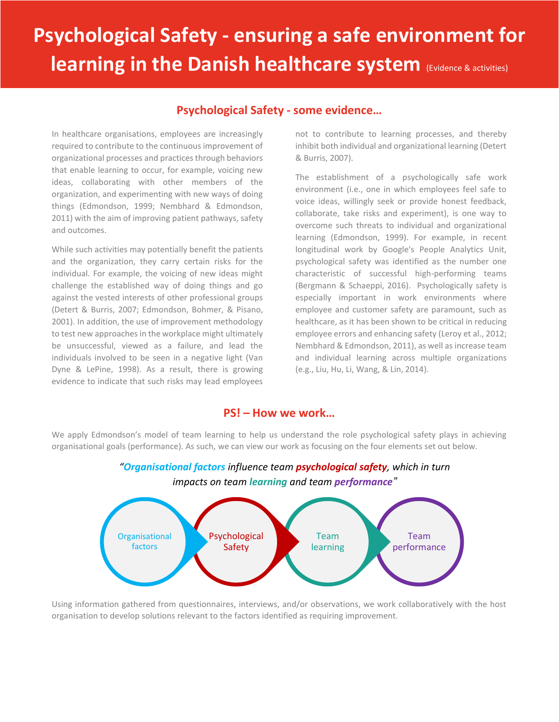# **Psychological Safety - ensuring a safe environment for learning in the Danish healthcare system (Evidence & activities)**

## **Psychological Safety - some evidence…**

In healthcare organisations, employees are increasingly required to contribute to the continuous improvement of organizational processes and practices through behaviors that enable learning to occur, for example, voicing new ideas, collaborating with other members of the organization, and experimenting with new ways of doing things (Edmondson, 1999; Nembhard & Edmondson, 2011) with the aim of improving patient pathways, safety and outcomes.

While such activities may potentially benefit the patients and the organization, they carry certain risks for the individual. For example, the voicing of new ideas might challenge the established way of doing things and go against the vested interests of other professional groups (Detert & Burris, 2007; Edmondson, Bohmer, & Pisano, 2001). In addition, the use of improvement methodology to test new approaches in the workplace might ultimately be unsuccessful, viewed as a failure, and lead the individuals involved to be seen in a negative light (Van Dyne & LePine, 1998). As a result, there is growing evidence to indicate that such risks may lead employees

not to contribute to learning processes, and thereby inhibit both individual and organizational learning (Detert & Burris, 2007).

The establishment of a psychologically safe work environment (i.e., one in which employees feel safe to voice ideas, willingly seek or provide honest feedback, collaborate, take risks and experiment), is one way to overcome such threats to individual and organizational learning (Edmondson, 1999). For example, in recent longitudinal work by Google's People Analytics Unit, psychological safety was identified as the number one characteristic of successful high-performing teams (Bergmann & Schaeppi, 2016). Psychologically safety is especially important in work environments where employee and customer safety are paramount, such as healthcare, as it has been shown to be critical in reducing employee errors and enhancing safety (Leroy et al., 2012; Nembhard & Edmondson, 2011), as well as increase team and individual learning across multiple organizations (e.g., Liu, Hu, Li, Wang, & Lin, 2014).

### **PS! – How we work…**

We apply Edmondson's model of team learning to help us understand the role psychological safety plays in achieving organisational goals (performance). As such, we can view our work as focusing on the four elements set out below.



*"Organisational factors influence team psychological safety, which in turn impacts on team learning and team performance"*

Using information gathered from questionnaires, interviews, and/or observations, we work collaboratively with the host organisation to develop solutions relevant to the factors identified as requiring improvement.